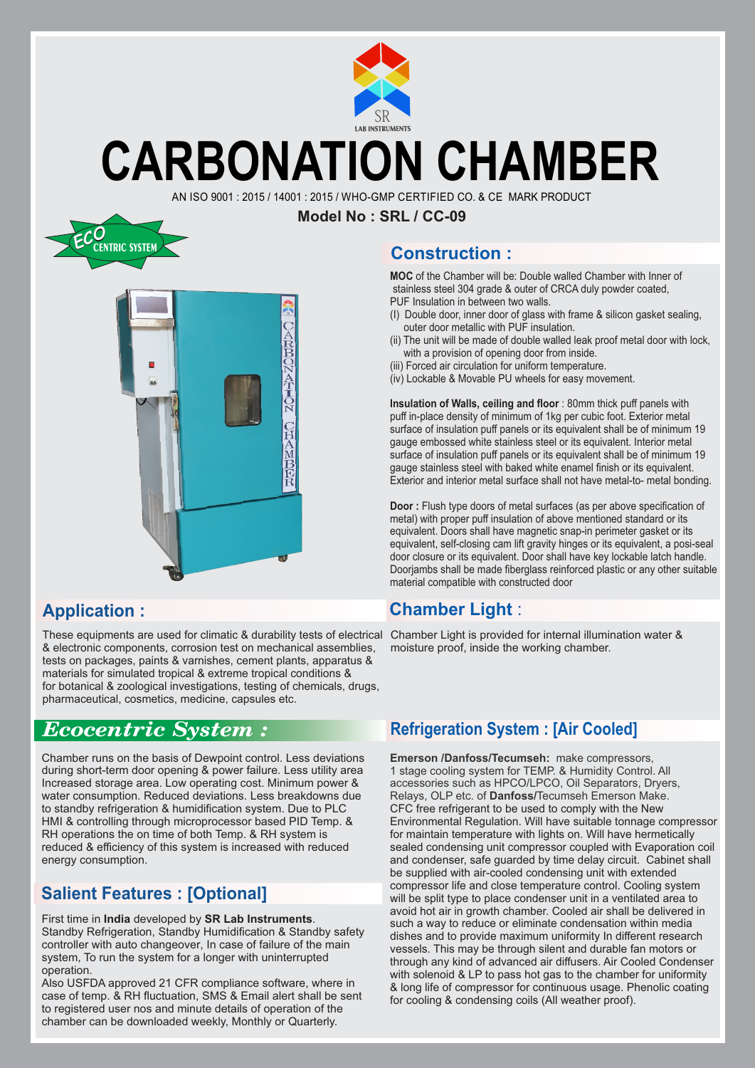

## **CARBONATION CHAMBER**

AN ISO 9001 : 2015 / 14001 : 2015 / WHO-GMP CERTIFIED CO. & CE MARK PRODUCT

**Model No : SRL / CC-09**





#### **Application :**

These equipments are used for climatic & durability tests of electrical & electronic components, corrosion test on mechanical assemblies, tests on packages, paints & varnishes, cement plants, apparatus & materials for simulated tropical & extreme tropical conditions & for botanical & zoological investigations, testing of chemicals, drugs, pharmaceutical, cosmetics, medicine, capsules etc.

### *Ecocentric System :*

Chamber runs on the basis of Dewpoint control. Less deviations during short-term door opening & power failure. Less utility area Increased storage area. Low operating cost. Minimum power & water consumption. Reduced deviations. Less breakdowns due to standby refrigeration & humidification system. Due to PLC HMI & controlling through microprocessor based PID Temp. & RH operations the on time of both Temp. & RH system is reduced & efficiency of this system is increased with reduced energy consumption.

#### **Salient Features : [Optional]**

#### First time in **India** developed by **SR Lab Instruments**. Standby Refrigeration, Standby Humidification & Standby safety controller with auto changeover, In case of failure of the main system, To run the system for a longer with uninterrupted operation.

Also USFDA approved 21 CFR compliance software, where in case of temp. & RH fluctuation, SMS & Email alert shall be sent to registered user nos and minute details of operation of the chamber can be downloaded weekly, Monthly or Quarterly.

#### **Construction :**

**MOC** of the Chamber will be: Double walled Chamber with Inner of stainless steel 304 grade & outer of CRCA duly powder coated, PUF Insulation in between two walls.

- (I) Double door, inner door of glass with frame & silicon gasket sealing, outer door metallic with PUF insulation.
- (ii) The unit will be made of double walled leak proof metal door with lock, with a provision of opening door from inside.
- (iii) Forced air circulation for uniform temperature.
- (iv) Lockable & Movable PU wheels for easy movement.

**Insulation of Walls, ceiling and floor** : 80mm thick puff panels with puff in-place density of minimum of 1kg per cubic foot. Exterior metal surface of insulation puff panels or its equivalent shall be of minimum 19 gauge embossed white stainless steel or its equivalent. Interior metal surface of insulation puff panels or its equivalent shall be of minimum 19 gauge stainless steel with baked white enamel finish or its equivalent. Exterior and interior metal surface shall not have metal-to- metal bonding.

**Door :** Flush type doors of metal surfaces (as per above specification of metal) with proper puff insulation of above mentioned standard or its equivalent. Doors shall have magnetic snap-in perimeter gasket or its equivalent, self-closing cam lift gravity hinges or its equivalent, a posi-seal door closure or its equivalent. Door shall have key lockable latch handle. Doorjambs shall be made fiberglass reinforced plastic or any other suitable material compatible with constructed door

#### **Chamber Light** :

Chamber Light is provided for internal illumination water & moisture proof, inside the working chamber.

#### **Refrigeration System : [Air Cooled]**

**Emerson /Danfoss/Tecumseh:** make compressors, 1 stage cooling system for TEMP. & Humidity Control. All accessories such as HPCO/LPCO, Oil Separators, Dryers, Relays, OLP etc. of **Danfoss/**Tecumseh Emerson Make. CFC free refrigerant to be used to comply with the New Environmental Regulation. Will have suitable tonnage compressor for maintain temperature with lights on. Will have hermetically sealed condensing unit compressor coupled with Evaporation coil and condenser, safe guarded by time delay circuit. Cabinet shall be supplied with air-cooled condensing unit with extended compressor life and close temperature control. Cooling system will be split type to place condenser unit in a ventilated area to avoid hot air in growth chamber. Cooled air shall be delivered in such a way to reduce or eliminate condensation within media dishes and to provide maximum uniformity In different research vessels. This may be through silent and durable fan motors or through any kind of advanced air diffusers. Air Cooled Condenser with solenoid & LP to pass hot gas to the chamber for uniformity & long life of compressor for continuous usage. Phenolic coating for cooling & condensing coils (All weather proof).